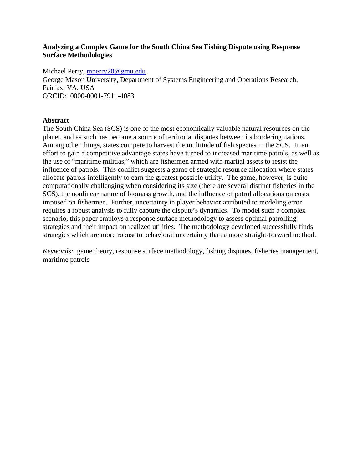# **Analyzing a Complex Game for the South China Sea Fishing Dispute using Response Surface Methodologies**

Michael Perry, [mperry20@gmu.edu](mailto:mperry20@gmu.edu)

George Mason University, Department of Systems Engineering and Operations Research, Fairfax, VA, USA ORCID: 0000-0001-7911-4083

# **Abstract**

The South China Sea (SCS) is one of the most economically valuable natural resources on the planet, and as such has become a source of territorial disputes between its bordering nations. Among other things, states compete to harvest the multitude of fish species in the SCS. In an effort to gain a competitive advantage states have turned to increased maritime patrols, as well as the use of "maritime militias," which are fishermen armed with martial assets to resist the influence of patrols. This conflict suggests a game of strategic resource allocation where states allocate patrols intelligently to earn the greatest possible utility. The game, however, is quite computationally challenging when considering its size (there are several distinct fisheries in the SCS), the nonlinear nature of biomass growth, and the influence of patrol allocations on costs imposed on fishermen. Further, uncertainty in player behavior attributed to modeling error requires a robust analysis to fully capture the dispute's dynamics. To model such a complex scenario, this paper employs a response surface methodology to assess optimal patrolling strategies and their impact on realized utilities. The methodology developed successfully finds strategies which are more robust to behavioral uncertainty than a more straight-forward method.

*Keywords:* game theory, response surface methodology, fishing disputes, fisheries management, maritime patrols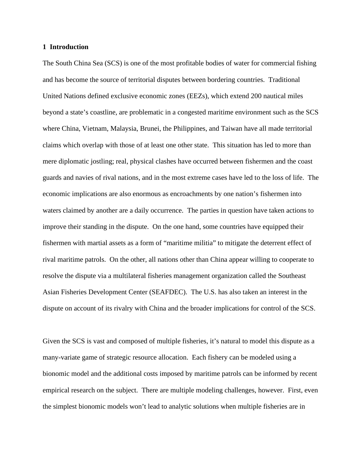### **1 Introduction**

The South China Sea (SCS) is one of the most profitable bodies of water for commercial fishing and has become the source of territorial disputes between bordering countries. Traditional United Nations defined exclusive economic zones (EEZs), which extend 200 nautical miles beyond a state's coastline, are problematic in a congested maritime environment such as the SCS where China, Vietnam, Malaysia, Brunei, the Philippines, and Taiwan have all made territorial claims which overlap with those of at least one other state. This situation has led to more than mere diplomatic jostling; real, physical clashes have occurred between fishermen and the coast guards and navies of rival nations, and in the most extreme cases have led to the loss of life. The economic implications are also enormous as encroachments by one nation's fishermen into waters claimed by another are a daily occurrence. The parties in question have taken actions to improve their standing in the dispute. On the one hand, some countries have equipped their fishermen with martial assets as a form of "maritime militia" to mitigate the deterrent effect of rival maritime patrols. On the other, all nations other than China appear willing to cooperate to resolve the dispute via a multilateral fisheries management organization called the Southeast Asian Fisheries Development Center (SEAFDEC). The U.S. has also taken an interest in the dispute on account of its rivalry with China and the broader implications for control of the SCS.

Given the SCS is vast and composed of multiple fisheries, it's natural to model this dispute as a many-variate game of strategic resource allocation. Each fishery can be modeled using a bionomic model and the additional costs imposed by maritime patrols can be informed by recent empirical research on the subject. There are multiple modeling challenges, however. First, even the simplest bionomic models won't lead to analytic solutions when multiple fisheries are in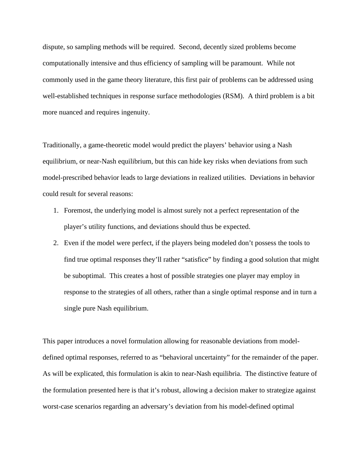dispute, so sampling methods will be required. Second, decently sized problems become computationally intensive and thus efficiency of sampling will be paramount. While not commonly used in the game theory literature, this first pair of problems can be addressed using well-established techniques in response surface methodologies (RSM). A third problem is a bit more nuanced and requires ingenuity.

Traditionally, a game-theoretic model would predict the players' behavior using a Nash equilibrium, or near-Nash equilibrium, but this can hide key risks when deviations from such model-prescribed behavior leads to large deviations in realized utilities. Deviations in behavior could result for several reasons:

- 1. Foremost, the underlying model is almost surely not a perfect representation of the player's utility functions, and deviations should thus be expected.
- 2. Even if the model were perfect, if the players being modeled don't possess the tools to find true optimal responses they'll rather "satisfice" by finding a good solution that might be suboptimal. This creates a host of possible strategies one player may employ in response to the strategies of all others, rather than a single optimal response and in turn a single pure Nash equilibrium.

This paper introduces a novel formulation allowing for reasonable deviations from modeldefined optimal responses, referred to as "behavioral uncertainty" for the remainder of the paper. As will be explicated, this formulation is akin to near-Nash equilibria. The distinctive feature of the formulation presented here is that it's robust, allowing a decision maker to strategize against worst-case scenarios regarding an adversary's deviation from his model-defined optimal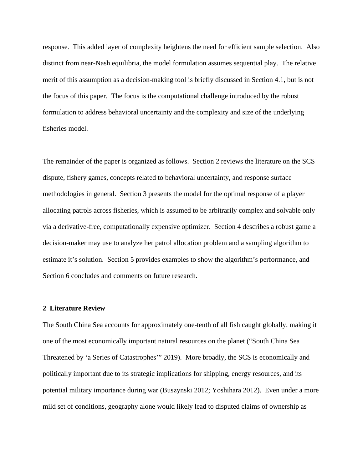response. This added layer of complexity heightens the need for efficient sample selection. Also distinct from near-Nash equilibria, the model formulation assumes sequential play. The relative merit of this assumption as a decision-making tool is briefly discussed in Section 4.1, but is not the focus of this paper. The focus is the computational challenge introduced by the robust formulation to address behavioral uncertainty and the complexity and size of the underlying fisheries model.

The remainder of the paper is organized as follows. Section 2 reviews the literature on the SCS dispute, fishery games, concepts related to behavioral uncertainty, and response surface methodologies in general. Section 3 presents the model for the optimal response of a player allocating patrols across fisheries, which is assumed to be arbitrarily complex and solvable only via a derivative-free, computationally expensive optimizer. Section 4 describes a robust game a decision-maker may use to analyze her patrol allocation problem and a sampling algorithm to estimate it's solution. Section 5 provides examples to show the algorithm's performance, and Section 6 concludes and comments on future research.

# **2 Literature Review**

The South China Sea accounts for approximately one-tenth of all fish caught globally, making it one of the most economically important natural resources on the planet ("South China Sea Threatened by 'a Series of Catastrophes'" 2019). More broadly, the SCS is economically and politically important due to its strategic implications for shipping, energy resources, and its potential military importance during war (Buszynski 2012; Yoshihara 2012). Even under a more mild set of conditions, geography alone would likely lead to disputed claims of ownership as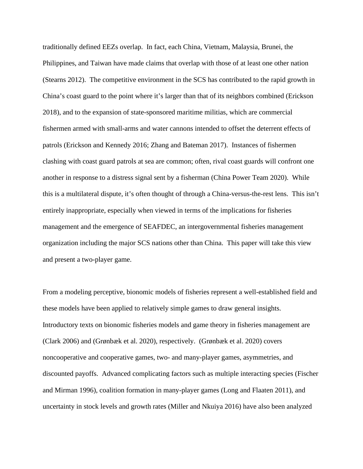traditionally defined EEZs overlap. In fact, each China, Vietnam, Malaysia, Brunei, the Philippines, and Taiwan have made claims that overlap with those of at least one other nation (Stearns 2012). The competitive environment in the SCS has contributed to the rapid growth in China's coast guard to the point where it's larger than that of its neighbors combined (Erickson 2018), and to the expansion of state-sponsored maritime militias, which are commercial fishermen armed with small-arms and water cannons intended to offset the deterrent effects of patrols (Erickson and Kennedy 2016; Zhang and Bateman 2017). Instances of fishermen clashing with coast guard patrols at sea are common; often, rival coast guards will confront one another in response to a distress signal sent by a fisherman (China Power Team 2020). While this is a multilateral dispute, it's often thought of through a China-versus-the-rest lens. This isn't entirely inappropriate, especially when viewed in terms of the implications for fisheries management and the emergence of SEAFDEC, an intergovernmental fisheries management organization including the major SCS nations other than China. This paper will take this view and present a two-player game.

From a modeling perceptive, bionomic models of fisheries represent a well-established field and these models have been applied to relatively simple games to draw general insights. Introductory texts on bionomic fisheries models and game theory in fisheries management are (Clark 2006) and (Grønbæk et al. 2020), respectively. (Grønbæk et al. 2020) covers noncooperative and cooperative games, two- and many-player games, asymmetries, and discounted payoffs. Advanced complicating factors such as multiple interacting species (Fischer and Mirman 1996), coalition formation in many-player games (Long and Flaaten 2011), and uncertainty in stock levels and growth rates (Miller and Nkuiya 2016) have also been analyzed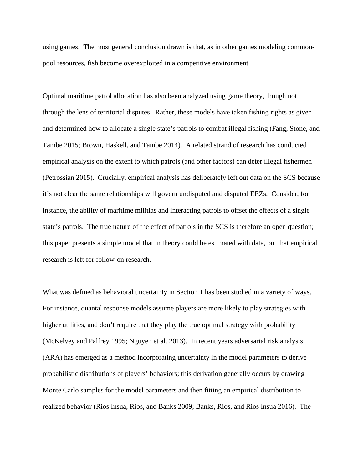using games. The most general conclusion drawn is that, as in other games modeling commonpool resources, fish become overexploited in a competitive environment.

Optimal maritime patrol allocation has also been analyzed using game theory, though not through the lens of territorial disputes. Rather, these models have taken fishing rights as given and determined how to allocate a single state's patrols to combat illegal fishing (Fang, Stone, and Tambe 2015; Brown, Haskell, and Tambe 2014). A related strand of research has conducted empirical analysis on the extent to which patrols (and other factors) can deter illegal fishermen (Petrossian 2015). Crucially, empirical analysis has deliberately left out data on the SCS because it's not clear the same relationships will govern undisputed and disputed EEZs. Consider, for instance, the ability of maritime militias and interacting patrols to offset the effects of a single state's patrols. The true nature of the effect of patrols in the SCS is therefore an open question; this paper presents a simple model that in theory could be estimated with data, but that empirical research is left for follow-on research.

What was defined as behavioral uncertainty in Section 1 has been studied in a variety of ways. For instance, quantal response models assume players are more likely to play strategies with higher utilities, and don't require that they play the true optimal strategy with probability 1 (McKelvey and Palfrey 1995; Nguyen et al. 2013). In recent years adversarial risk analysis (ARA) has emerged as a method incorporating uncertainty in the model parameters to derive probabilistic distributions of players' behaviors; this derivation generally occurs by drawing Monte Carlo samples for the model parameters and then fitting an empirical distribution to realized behavior (Rios Insua, Rios, and Banks 2009; Banks, Rios, and Rios Insua 2016). The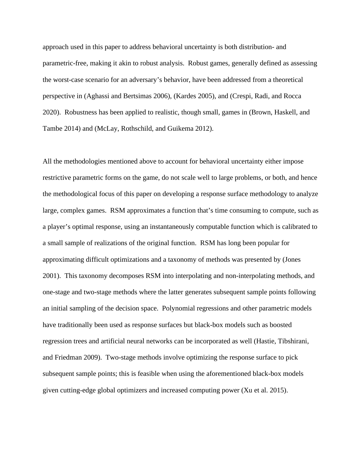approach used in this paper to address behavioral uncertainty is both distribution- and parametric-free, making it akin to robust analysis. Robust games, generally defined as assessing the worst-case scenario for an adversary's behavior, have been addressed from a theoretical perspective in (Aghassi and Bertsimas 2006), (Kardes 2005), and (Crespi, Radi, and Rocca 2020). Robustness has been applied to realistic, though small, games in (Brown, Haskell, and Tambe 2014) and (McLay, Rothschild, and Guikema 2012).

All the methodologies mentioned above to account for behavioral uncertainty either impose restrictive parametric forms on the game, do not scale well to large problems, or both, and hence the methodological focus of this paper on developing a response surface methodology to analyze large, complex games. RSM approximates a function that's time consuming to compute, such as a player's optimal response, using an instantaneously computable function which is calibrated to a small sample of realizations of the original function. RSM has long been popular for approximating difficult optimizations and a taxonomy of methods was presented by (Jones 2001). This taxonomy decomposes RSM into interpolating and non-interpolating methods, and one-stage and two-stage methods where the latter generates subsequent sample points following an initial sampling of the decision space. Polynomial regressions and other parametric models have traditionally been used as response surfaces but black-box models such as boosted regression trees and artificial neural networks can be incorporated as well (Hastie, Tibshirani, and Friedman 2009). Two-stage methods involve optimizing the response surface to pick subsequent sample points; this is feasible when using the aforementioned black-box models given cutting-edge global optimizers and increased computing power (Xu et al. 2015).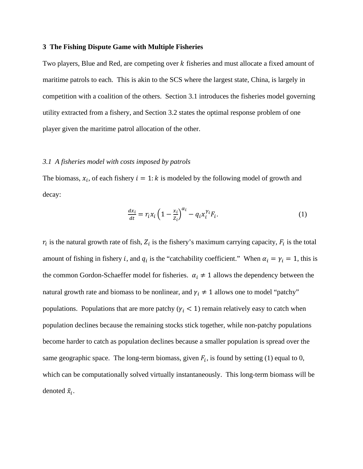## **3 The Fishing Dispute Game with Multiple Fisheries**

Two players, Blue and Red, are competing over k fisheries and must allocate a fixed amount of maritime patrols to each. This is akin to the SCS where the largest state, China, is largely in competition with a coalition of the others. Section 3.1 introduces the fisheries model governing utility extracted from a fishery, and Section 3.2 states the optimal response problem of one player given the maritime patrol allocation of the other.

#### *3.1 A fisheries model with costs imposed by patrols*

The biomass,  $x_i$ , of each fishery  $i = 1:k$  is modeled by the following model of growth and decay:

$$
\frac{dx_i}{dt} = r_i x_i \left( 1 - \frac{x_i}{z_i} \right)^{\alpha_i} - q_i x_i^{\gamma_i} F_i.
$$
\n(1)

 $r_i$  is the natural growth rate of fish,  $Z_i$  is the fishery's maximum carrying capacity,  $F_i$  is the total amount of fishing in fishery *i*, and  $q_i$  is the "catchability coefficient." When  $\alpha_i = \gamma_i = 1$ , this is the common Gordon-Schaeffer model for fisheries.  $\alpha_i \neq 1$  allows the dependency between the natural growth rate and biomass to be nonlinear, and  $\gamma_i \neq 1$  allows one to model "patchy" populations. Populations that are more patchy ( $\gamma_i$  < 1) remain relatively easy to catch when population declines because the remaining stocks stick together, while non-patchy populations become harder to catch as population declines because a smaller population is spread over the same geographic space. The long-term biomass, given  $F_i$ , is found by setting (1) equal to 0, which can be computationally solved virtually instantaneously. This long-term biomass will be denoted  $\tilde{x}_i$ .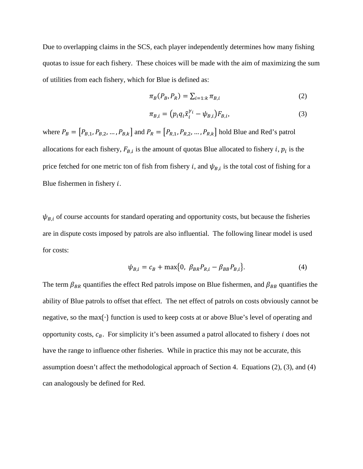Due to overlapping claims in the SCS, each player independently determines how many fishing quotas to issue for each fishery. These choices will be made with the aim of maximizing the sum of utilities from each fishery, which for Blue is defined as:

$$
\pi_B(P_B, P_R) = \sum_{i=1:k} \pi_{B,i}
$$
 (2)

$$
\pi_{B,i} = (p_i q_i \tilde{\chi}_i^{\gamma_i} - \psi_{B,i}) F_{B,i}, \qquad (3)
$$

where  $P_B = [P_{B,1}, P_{B,2}, ..., P_{B,k}]$  and  $P_R = [P_{R,1}, P_{R,2}, ..., P_{R,k}]$  hold Blue and Red's patrol allocations for each fishery,  $F_{B,i}$  is the amount of quotas Blue allocated to fishery *i*,  $p_i$  is the price fetched for one metric ton of fish from fishery *i*, and  $\psi_{B,i}$  is the total cost of fishing for a Blue fishermen in fishery  $i$ .

 $\psi_{B,i}$  of course accounts for standard operating and opportunity costs, but because the fisheries are in dispute costs imposed by patrols are also influential. The following linear model is used for costs:

$$
\psi_{B,i} = c_B + \max\{0, \ \beta_{BR} P_{R,i} - \beta_{BB} P_{B,i}\}.
$$
 (4)

The term  $\beta_{BR}$  quantifies the effect Red patrols impose on Blue fishermen, and  $\beta_{BB}$  quantifies the ability of Blue patrols to offset that effect. The net effect of patrols on costs obviously cannot be negative, so the max{∙} function is used to keep costs at or above Blue's level of operating and opportunity costs,  $c_B$ . For simplicity it's been assumed a patrol allocated to fishery *i* does not have the range to influence other fisheries. While in practice this may not be accurate, this assumption doesn't affect the methodological approach of Section 4. Equations (2), (3), and (4) can analogously be defined for Red.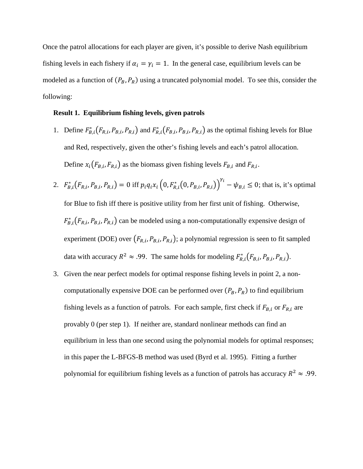Once the patrol allocations for each player are given, it's possible to derive Nash equilibrium fishing levels in each fishery if  $\alpha_i = \gamma_i = 1$ . In the general case, equilibrium levels can be modeled as a function of  $(P_B, P_R)$  using a truncated polynomial model. To see this, consider the following:

# **Result 1. Equilibrium fishing levels, given patrols**

- 1. Define  $F_{B,i}^*(F_{R,i}, P_{B,i}, P_{R,i})$  and  $F_{R,i}^*(F_{B,i}, P_{B,i}, P_{R,i})$  as the optimal fishing levels for Blue and Red, respectively, given the other's fishing levels and each's patrol allocation. Define  $x_i(F_{B,i}, F_{R,i})$  as the biomass given fishing levels  $F_{B,i}$  and  $F_{R,i}$ .
- 2.  $F_{B,i}^*(F_{R,i}, P_{B,i}, P_{R,i}) = 0$  iff  $p_i q_i x_i (0, F_{R,i}^*(0, P_{B,i}, P_{R,i}))^{Y_i} \psi_{B,i} \le 0$ ; that is, it's optimal for Blue to fish iff there is positive utility from her first unit of fishing. Otherwise,  $F_{B,i}^*(F_{R,i}, P_{B,i}, P_{R,i})$  can be modeled using a non-computationally expensive design of experiment (DOE) over  $(F_{R,i}, P_{B,i}, P_{R,i})$ ; a polynomial regression is seen to fit sampled data with accuracy  $R^2 \approx .99$ . The same holds for modeling  $F_{R,i}^*(F_{B,i}, P_{B,i}, P_{R,i})$ .
- 3. Given the near perfect models for optimal response fishing levels in point 2, a noncomputationally expensive DOE can be performed over  $(P_B, P_R)$  to find equilibrium fishing levels as a function of patrols. For each sample, first check if  $F_{B,i}$  or  $F_{R,i}$  are provably 0 (per step 1). If neither are, standard nonlinear methods can find an equilibrium in less than one second using the polynomial models for optimal responses; in this paper the L-BFGS-B method was used (Byrd et al. 1995). Fitting a further polynomial for equilibrium fishing levels as a function of patrols has accuracy  $R^2 \approx .99$ .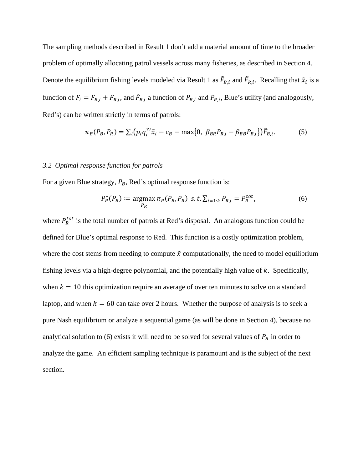The sampling methods described in Result 1 don't add a material amount of time to the broader problem of optimally allocating patrol vessels across many fisheries, as described in Section 4. Denote the equilibrium fishing levels modeled via Result 1 as  $\tilde{F}_{B,i}$  and  $\tilde{F}_{R,i}$ . Recalling that  $\tilde{x}_i$  is a function of  $F_i = F_{B,i} + F_{R,i}$ , and  $\bar{F}_{B,i}$  a function of  $P_{B,i}$  and  $P_{R,i}$ , Blue's utility (and analogously, Red's) can be written strictly in terms of patrols:

$$
\pi_B(P_B, P_R) = \sum_i (p_i q_i^{\gamma_i} \tilde{x}_i - c_B - \max\{0, \ \beta_{BR} P_{R,i} - \beta_{BB} P_{B,i}\}) \tilde{F}_{B,i}.
$$
 (5)

## *3.2 Optimal response function for patrols*

For a given Blue strategy,  $P_B$ , Red's optimal response function is:

$$
P_R^*(P_B) := \underset{P_R}{\text{argmax}} \pi_R(P_B, P_R) \ \text{ s.t.} \ \Sigma_{i=1:k} P_{R,i} = P_R^{tot}, \tag{6}
$$

where  $P_R^{tot}$  is the total number of patrols at Red's disposal. An analogous function could be defined for Blue's optimal response to Red. This function is a costly optimization problem, where the cost stems from needing to compute  $\tilde{x}$  computationally, the need to model equilibrium fishing levels via a high-degree polynomial, and the potentially high value of  $k$ . Specifically, when  $k = 10$  this optimization require an average of over ten minutes to solve on a standard laptop, and when  $k = 60$  can take over 2 hours. Whether the purpose of analysis is to seek a pure Nash equilibrium or analyze a sequential game (as will be done in Section 4), because no analytical solution to (6) exists it will need to be solved for several values of  $P_B$  in order to analyze the game. An efficient sampling technique is paramount and is the subject of the next section.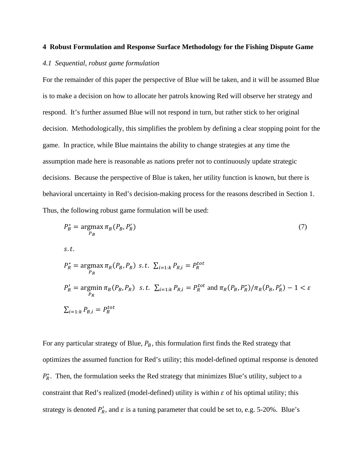#### **4 Robust Formulation and Response Surface Methodology for the Fishing Dispute Game**

#### *4.1 Sequential, robust game formulation*

For the remainder of this paper the perspective of Blue will be taken, and it will be assumed Blue is to make a decision on how to allocate her patrols knowing Red will observe her strategy and respond. It's further assumed Blue will not respond in turn, but rather stick to her original decision. Methodologically, this simplifies the problem by defining a clear stopping point for the game. In practice, while Blue maintains the ability to change strategies at any time the assumption made here is reasonable as nations prefer not to continuously update strategic decisions. Because the perspective of Blue is taken, her utility function is known, but there is behavioral uncertainty in Red's decision-making process for the reasons described in Section 1. Thus, the following robust game formulation will be used:

$$
P_B^* = \underset{P_B}{\operatorname{argmax}} \pi_B(P_B, P_R')
$$
\n
$$
s.t.
$$
\n
$$
P_R^* = \underset{P_R}{\operatorname{argmax}} \pi_R(P_B, P_R) \quad s.t. \quad \sum_{i=1:k} P_{R,i} = P_R^{tot}
$$
\n
$$
P_R' = \underset{P_R}{\operatorname{argmin}} \pi_B(P_B, P_R) \quad s.t. \quad \sum_{i=1:k} P_{R,i} = P_R^{tot} \quad \text{and} \quad \pi_R(P_B, P_R^*) / \pi_R(P_B, P_R') - 1 < \varepsilon
$$
\n
$$
\sum_{i=1:k} P_{B,i} = P_B^{tot}
$$
\n
$$
(7)
$$

For any particular strategy of Blue,  $P_B$ , this formulation first finds the Red strategy that optimizes the assumed function for Red's utility; this model-defined optimal response is denoted  $P_R^*$ . Then, the formulation seeks the Red strategy that minimizes Blue's utility, subject to a constraint that Red's realized (model-defined) utility is within  $\varepsilon$  of his optimal utility; this strategy is denoted  $P'_R$ , and  $\varepsilon$  is a tuning parameter that could be set to, e.g. 5-20%. Blue's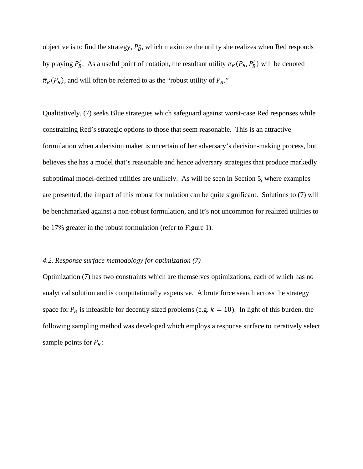objective is to find the strategy,  $P_B^*$ , which maximize the utility she realizes when Red responds by playing  $P'_R$ . As a useful point of notation, the resultant utility  $\pi_B(P_B, P'_R)$  will be denoted  $\bar{\bar{\pi}}_B(P_B)$ , and will often be referred to as the "robust utility of  $P_B$ ."

Qualitatively, (7) seeks Blue strategies which safeguard against worst-case Red responses while constraining Red's strategic options to those that seem reasonable. This is an attractive formulation when a decision maker is uncertain of her adversary's decision-making process, but believes she has a model that's reasonable and hence adversary strategies that produce markedly suboptimal model-defined utilities are unlikely. As will be seen in Section 5, where examples are presented, the impact of this robust formulation can be quite significant. Solutions to (7) will be benchmarked against a non-robust formulation, and it's not uncommon for realized utilities to be 17% greater in the robust formulation (refer to Figure 1).

# *4.2. Response surface methodology for optimization (7)*

Optimization (7) has two constraints which are themselves optimizations, each of which has no analytical solution and is computationally expensive. A brute force search across the strategy space for  $P_B$  is infeasible for decently sized problems (e.g.  $k = 10$ ). In light of this burden, the following sampling method was developed which employs a response surface to iteratively select sample points for  $P_B$ :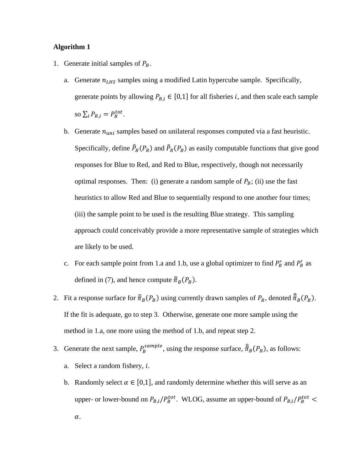# **Algorithm 1**

- 1. Generate initial samples of  $P_B$ .
	- a. Generate  $n_{LHS}$  samples using a modified Latin hypercube sample. Specifically, generate points by allowing  $P_{B,i} \in [0,1]$  for all fisheries *i*, and then scale each sample so  $\sum_i P_{B,i} = P_B^{tot}$ .
	- b. Generate  $n_{uni}$  samples based on unilateral responses computed via a fast heuristic. Specifically, define  $\tilde{P}_B(P_R)$  and  $\tilde{P}_R(P_B)$  as easily computable functions that give good responses for Blue to Red, and Red to Blue, respectively, though not necessarily optimal responses. Then: (i) generate a random sample of  $P_B$ ; (ii) use the fast heuristics to allow Red and Blue to sequentially respond to one another four times; (iii) the sample point to be used is the resulting Blue strategy. This sampling approach could conceivably provide a more representative sample of strategies which are likely to be used.
	- c. For each sample point from 1.a and 1.b, use a global optimizer to find  $P_R^*$  and  $P_R'$  as defined in (7), and hence compute  $\bar{\bar{\pi}}_B(P_B)$ .
- 2. Fit a response surface for  $\bar{\bar{\pi}}_B(P_B)$  using currently drawn samples of  $P_B$ , denoted  $\bar{\bar{\pi}}_B(P_B)$ . If the fit is adequate, go to step 3. Otherwise, generate one more sample using the method in 1.a, one more using the method of 1.b, and repeat step 2.
- 3. Generate the next sample,  $P_B^{sample}$ , using the response surface,  $\hat{\overline{\pi}}_B(P_B)$ , as follows: a. Select a random fishery,  $i$ .
	- b. Randomly select  $\alpha \in [0,1]$ , and randomly determine whether this will serve as an upper- or lower-bound on  $P_{B,i}/P_B^{tot}$ . WLOG, assume an upper-bound of  $P_{B,i}/P_B^{tot}$  <  $\alpha$ .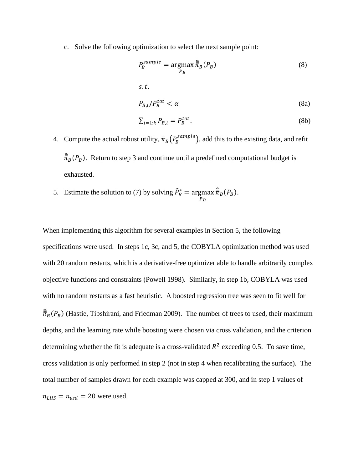c. Solve the following optimization to select the next sample point:

$$
P_B^{sample} = \underset{P_B}{\text{argmax}} \frac{\hat{\overline{\pi}}_B(P_B)}{(8)}
$$
\ns.t.\n
$$
P_{B,i}/P_B^{tot} < \alpha \tag{8a}
$$
\n
$$
\sum_{i=1:k} P_{B,i} = P_B^{tot}.\tag{8b}
$$

- 4. Compute the actual robust utility,  $\bar{\bar{\pi}}_B(P_B^{sample})$ , add this to the existing data, and refit  $\bar{\bar{\pi}}_B(P_B)$ . Return to step 3 and continue until a predefined computational budget is exhausted.
- 5. Estimate the solution to (7) by solving  $\hat{P}_B^* = \underset{R}{\text{argmax}}$  $P_B$  $\bar{\bar{\pi}}_B(P_B)$ .

When implementing this algorithm for several examples in Section 5, the following specifications were used. In steps 1c, 3c, and 5, the COBYLA optimization method was used with 20 random restarts, which is a derivative-free optimizer able to handle arbitrarily complex objective functions and constraints (Powell 1998). Similarly, in step 1b, COBYLA was used with no random restarts as a fast heuristic. A boosted regression tree was seen to fit well for  $\bar{\bar{\pi}}_B(P_B)$  (Hastie, Tibshirani, and Friedman 2009). The number of trees to used, their maximum depths, and the learning rate while boosting were chosen via cross validation, and the criterion determining whether the fit is adequate is a cross-validated  $R^2$  exceeding 0.5. To save time, cross validation is only performed in step 2 (not in step 4 when recalibrating the surface). The total number of samples drawn for each example was capped at 300, and in step 1 values of  $n_{LHS} = n_{uni} = 20$  were used.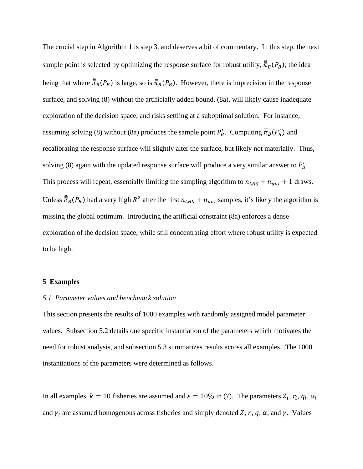The crucial step in Algorithm 1 is step 3, and deserves a bit of commentary. In this step, the next sample point is selected by optimizing the response surface for robust utility,  $\hat{\bar{\pi}}_B(P_B)$ , the idea being that where  $\frac{\partial}{\partial R}(P_B)$  is large, so is  $\frac{\partial}{\partial R}(P_B)$ . However, there is imprecision in the response surface, and solving (8) without the artificially added bound, (8a), will likely cause inadequate exploration of the decision space, and risks settling at a suboptimal solution. For instance, assuming solving (8) without (8a) produces the sample point  $P'_B$ . Computing  $\bar{\bar{\pi}}_B(P'_B)$  and recalibrating the response surface will slightly alter the surface, but likely not materially. Thus, solving (8) again with the updated response surface will produce a very similar answer to  $P'_B$ . This process will repeat, essentially limiting the sampling algorithm to  $n_{LHS} + n_{uni} + 1$  draws. Unless  $\hat{\bar{\pi}}_B(P_B)$  had a very high  $R^2$  after the first  $n_{LHS} + n_{uni}$  samples, it's likely the algorithm is missing the global optimum. Introducing the artificial constraint (8a) enforces a dense exploration of the decision space, while still concentrating effort where robust utility is expected to be high.

### **5 Examples**

## *5.1 Parameter values and benchmark solution*

This section presents the results of 1000 examples with randomly assigned model parameter values. Subsection 5.2 details one specific instantiation of the parameters which motivates the need for robust analysis, and subsection 5.3 summarizes results across all examples. The 1000 instantiations of the parameters were determined as follows.

In all examples,  $k = 10$  fisheries are assumed and  $\varepsilon = 10\%$  in (7). The parameters  $Z_i$ ,  $r_i$ ,  $q_i$ ,  $\alpha_i$ , and  $\gamma_i$  are assumed homogenous across fisheries and simply denoted Z, r, q,  $\alpha$ , and  $\gamma$ . Values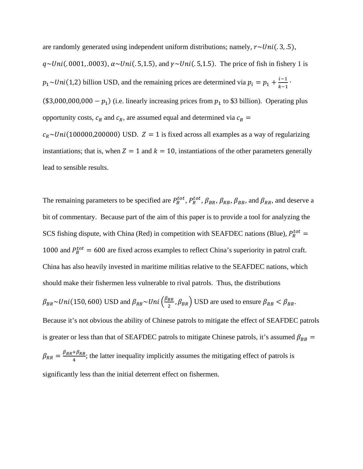are randomly generated using independent uniform distributions; namely,  $r \sim Uni(.3, .5),$  $q \sim Uni(.0001, .0003), \alpha \sim Uni(.5, 1.5),$  and  $\gamma \sim Uni(.5, 1.5).$  The price of fish in fishery 1 is  $p_1 \sim Uni(1,2)$  billion USD, and the remaining prices are determined via  $p_i = p_1 + \frac{i-1}{k-1}$ . (\$3,000,000,000 –  $p_1$ ) (i.e. linearly increasing prices from  $p_1$  to \$3 billion). Operating plus opportunity costs,  $c_B$  and  $c_R$ , are assumed equal and determined via  $c_B$  =  $c_R \sim Uni(100000,200000)$  USD.  $Z = 1$  is fixed across all examples as a way of regularizing instantiations; that is, when  $Z = 1$  and  $k = 10$ , instantiations of the other parameters generally lead to sensible results.

The remaining parameters to be specified are  $P_B^{tot}$ ,  $P_R^{tot}$ ,  $\beta_{BR}$ ,  $\beta_{RB}$ ,  $\beta_{BB}$ , and  $\beta_{RR}$ , and deserve a bit of commentary. Because part of the aim of this paper is to provide a tool for analyzing the SCS fishing dispute, with China (Red) in competition with SEAFDEC nations (Blue),  $P_R^{tot}$  = 1000 and  $P_B^{tot} = 600$  are fixed across examples to reflect China's superiority in patrol craft. China has also heavily invested in maritime militias relative to the SEAFDEC nations, which should make their fishermen less vulnerable to rival patrols. Thus, the distributions  $\beta_{BR} \sim Uni(150, 600)$  USD and  $\beta_{RB} \sim Uni\left(\frac{\beta_{BR}}{2}, \beta_{BR}\right)$  USD are used to ensure  $\beta_{RB} < \beta_{BR}$ . Because it's not obvious the ability of Chinese patrols to mitigate the effect of SEAFDEC patrols is greater or less than that of SEAFDEC patrols to mitigate Chinese patrols, it's assumed  $\beta_{BB}$  =  $\beta_{RR} = \frac{\beta_{BR} + \beta_{RB}}{4}$ ; the latter inequality implicitly assumes the mitigating effect of patrols is significantly less than the initial deterrent effect on fishermen.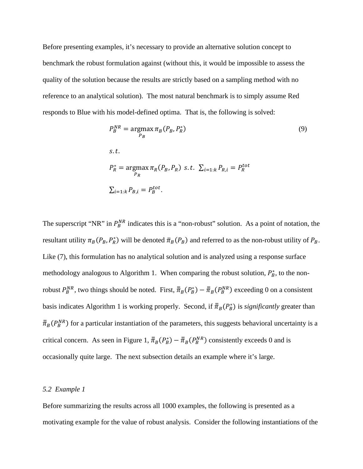Before presenting examples, it's necessary to provide an alternative solution concept to benchmark the robust formulation against (without this, it would be impossible to assess the quality of the solution because the results are strictly based on a sampling method with no reference to an analytical solution). The most natural benchmark is to simply assume Red responds to Blue with his model-defined optima. That is, the following is solved:

$$
P_B^{NR} = \underset{P_B}{\operatorname{argmax}} \pi_B(P_B, P_R^*)
$$
(9)  
s.t.  

$$
P_R^* = \underset{P_R}{\operatorname{argmax}} \pi_R(P_B, P_R) \text{ s.t. } \sum_{i=1:k} P_{R,i} = P_R^{tot}
$$

$$
\sum_{i=1:k} P_{B,i} = P_B^{tot}.
$$

The superscript "NR" in  $P_B^{NR}$  indicates this is a "non-robust" solution. As a point of notation, the resultant utility  $\pi_B(P_B, P_R^*)$  will be denoted  $\bar{\pi}_B(P_B)$  and referred to as the non-robust utility of  $P_B$ . Like (7), this formulation has no analytical solution and is analyzed using a response surface methodology analogous to Algorithm 1. When comparing the robust solution,  $P_B^*$ , to the nonrobust  $P_B^{NR}$ , two things should be noted. First,  $\bar{\bar{\pi}}_B(P_B^*) - \bar{\bar{\pi}}_B(P_B^{NR})$  exceeding 0 on a consistent basis indicates Algorithm 1 is working properly. Second, if  $\bar{\pi}_B(P_B^*)$  is *significantly* greater than  $\bar{\bar{\pi}}_B(P_B^{NR})$  for a particular instantiation of the parameters, this suggests behavioral uncertainty is a critical concern. As seen in Figure 1,  $\bar{\bar{\pi}}_B(P_B^*) - \bar{\bar{\pi}}_B(P_B^{NR})$  consistently exceeds 0 and is occasionally quite large. The next subsection details an example where it's large.

# *5.2 Example 1*

Before summarizing the results across all 1000 examples, the following is presented as a motivating example for the value of robust analysis. Consider the following instantiations of the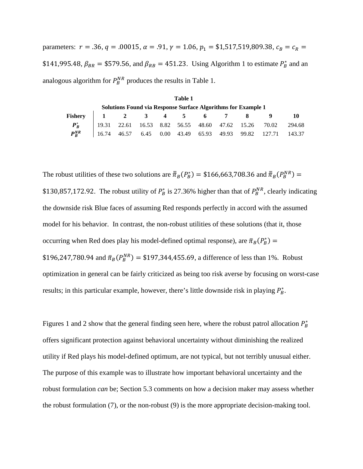parameters:  $r = .36$ ,  $q = .00015$ ,  $\alpha = .91$ ,  $\gamma = 1.06$ ,  $p_1 = $1,517,519,809.38$ ,  $c_B = c_R$ \$141,995.48,  $\beta_{BR}$  = \$579.56, and  $\beta_{RB}$  = 451.23. Using Algorithm 1 to estimate  $P_B^*$  and an analogous algorithm for  $P_B^{NR}$  produces the results in Table 1.

| Table 1                                                       |  |  |  |  |  |  |  |  |                                                               |  |
|---------------------------------------------------------------|--|--|--|--|--|--|--|--|---------------------------------------------------------------|--|
| Solutions Found via Response Surface Algorithms for Example 1 |  |  |  |  |  |  |  |  |                                                               |  |
| Fishery 1 2 3 4 5 6 7 8                                       |  |  |  |  |  |  |  |  |                                                               |  |
| $P_R^*$                                                       |  |  |  |  |  |  |  |  |                                                               |  |
| $P^{NR}_{P}$                                                  |  |  |  |  |  |  |  |  | $16.74$ 46.57 6.45 0.00 43.49 65.93 49.93 99.82 127.71 143.37 |  |

The robust utilities of these two solutions are  $\bar{\bar{\pi}}_B(P_B^*) = $166,663,708.36$  and  $\bar{\bar{\pi}}_B(P_B^{NR}) =$ \$130,857,172.92. The robust utility of  $P_B^*$  is 27.36% higher than that of  $P_B^{NR}$ , clearly indicating the downside risk Blue faces of assuming Red responds perfectly in accord with the assumed model for his behavior. In contrast, the non-robust utilities of these solutions (that it, those occurring when Red does play his model-defined optimal response), are  $\bar{\pi}_B(P_B^*)$  = \$196,247,780.94 and  $\bar{\pi}_B(P_B^{NR}) =$  \$197,344,455.69, a difference of less than 1%. Robust optimization in general can be fairly criticized as being too risk averse by focusing on worst-case results; in this particular example, however, there's little downside risk in playing  $P_B^*$ .

Figures 1 and 2 show that the general finding seen here, where the robust patrol allocation  $P_B^*$ offers significant protection against behavioral uncertainty without diminishing the realized utility if Red plays his model-defined optimum, are not typical, but not terribly unusual either. The purpose of this example was to illustrate how important behavioral uncertainty and the robust formulation *can* be; Section 5.3 comments on how a decision maker may assess whether the robust formulation (7), or the non-robust (9) is the more appropriate decision-making tool.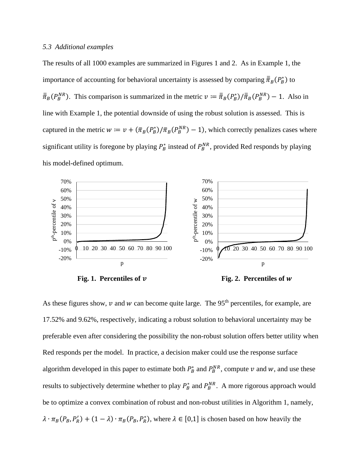## *5.3 Additional examples*

The results of all 1000 examples are summarized in Figures 1 and 2. As in Example 1, the importance of accounting for behavioral uncertainty is assessed by comparing  $\bar{\bar{\pi}}_B(P_B^*)$  to  $\bar{\bar{\pi}}_B(P_B^{NR})$ . This comparison is summarized in the metric  $v := \bar{\bar{\pi}}_B(P_B^*) / \bar{\bar{\pi}}_B(P_B^{NR}) - 1$ . Also in line with Example 1, the potential downside of using the robust solution is assessed. This is captured in the metric  $w = v + (\bar{\pi}_B(P_B^*) / \bar{\pi}_B(P_B^{NR}) - 1)$ , which correctly penalizes cases where significant utility is foregone by playing  $P_B^*$  instead of  $P_B^{NR}$ , provided Red responds by playing his model-defined optimum.



Fig. 1. Percentiles of  $\nu$  Fig. 2. Percentiles of w

As these figures show,  $\nu$  and  $w$  can become quite large. The 95<sup>th</sup> percentiles, for example, are 17.52% and 9.62%, respectively, indicating a robust solution to behavioral uncertainty may be preferable even after considering the possibility the non-robust solution offers better utility when Red responds per the model. In practice, a decision maker could use the response surface algorithm developed in this paper to estimate both  $P_B^*$  and  $P_B^{NR}$ , compute  $\nu$  and  $w$ , and use these results to subjectively determine whether to play  $P_B^*$  and  $P_B^{NR}$ . A more rigorous approach would be to optimize a convex combination of robust and non-robust utilities in Algorithm 1, namely,  $\lambda \cdot \pi_B(P_B, P_R') + (1 - \lambda) \cdot \pi_B(P_B, P_R^*)$ , where  $\lambda \in [0,1]$  is chosen based on how heavily the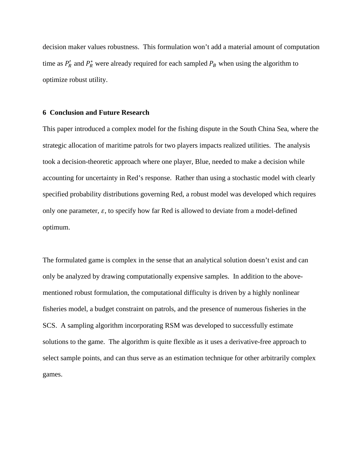decision maker values robustness. This formulation won't add a material amount of computation time as  $P'_R$  and  $P^*_R$  were already required for each sampled  $P_B$  when using the algorithm to optimize robust utility.

#### **6 Conclusion and Future Research**

This paper introduced a complex model for the fishing dispute in the South China Sea, where the strategic allocation of maritime patrols for two players impacts realized utilities. The analysis took a decision-theoretic approach where one player, Blue, needed to make a decision while accounting for uncertainty in Red's response. Rather than using a stochastic model with clearly specified probability distributions governing Red, a robust model was developed which requires only one parameter,  $\varepsilon$ , to specify how far Red is allowed to deviate from a model-defined optimum.

The formulated game is complex in the sense that an analytical solution doesn't exist and can only be analyzed by drawing computationally expensive samples. In addition to the abovementioned robust formulation, the computational difficulty is driven by a highly nonlinear fisheries model, a budget constraint on patrols, and the presence of numerous fisheries in the SCS. A sampling algorithm incorporating RSM was developed to successfully estimate solutions to the game. The algorithm is quite flexible as it uses a derivative-free approach to select sample points, and can thus serve as an estimation technique for other arbitrarily complex games.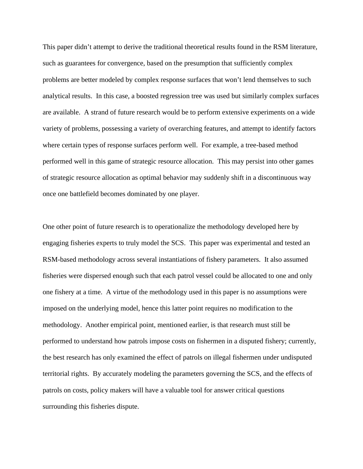This paper didn't attempt to derive the traditional theoretical results found in the RSM literature, such as guarantees for convergence, based on the presumption that sufficiently complex problems are better modeled by complex response surfaces that won't lend themselves to such analytical results. In this case, a boosted regression tree was used but similarly complex surfaces are available. A strand of future research would be to perform extensive experiments on a wide variety of problems, possessing a variety of overarching features, and attempt to identify factors where certain types of response surfaces perform well. For example, a tree-based method performed well in this game of strategic resource allocation. This may persist into other games of strategic resource allocation as optimal behavior may suddenly shift in a discontinuous way once one battlefield becomes dominated by one player.

One other point of future research is to operationalize the methodology developed here by engaging fisheries experts to truly model the SCS. This paper was experimental and tested an RSM-based methodology across several instantiations of fishery parameters. It also assumed fisheries were dispersed enough such that each patrol vessel could be allocated to one and only one fishery at a time. A virtue of the methodology used in this paper is no assumptions were imposed on the underlying model, hence this latter point requires no modification to the methodology. Another empirical point, mentioned earlier, is that research must still be performed to understand how patrols impose costs on fishermen in a disputed fishery; currently, the best research has only examined the effect of patrols on illegal fishermen under undisputed territorial rights. By accurately modeling the parameters governing the SCS, and the effects of patrols on costs, policy makers will have a valuable tool for answer critical questions surrounding this fisheries dispute.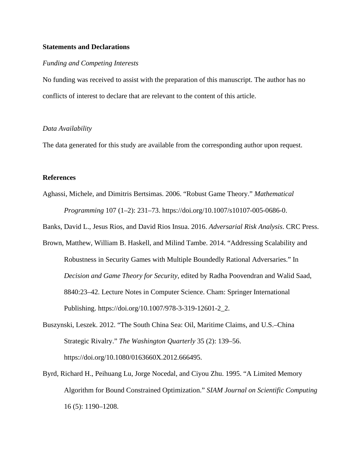# **Statements and Declarations**

# *Funding and Competing Interests*

No funding was received to assist with the preparation of this manuscript. The author has no conflicts of interest to declare that are relevant to the content of this article.

# *Data Availability*

The data generated for this study are available from the corresponding author upon request.

# **References**

Aghassi, Michele, and Dimitris Bertsimas. 2006. "Robust Game Theory." *Mathematical Programming* 107 (1–2): 231–73. https://doi.org/10.1007/s10107-005-0686-0.

Banks, David L., Jesus Rios, and David Rios Insua. 2016. *Adversarial Risk Analysis*. CRC Press.

- Brown, Matthew, William B. Haskell, and Milind Tambe. 2014. "Addressing Scalability and Robustness in Security Games with Multiple Boundedly Rational Adversaries." In *Decision and Game Theory for Security*, edited by Radha Poovendran and Walid Saad, 8840:23–42. Lecture Notes in Computer Science. Cham: Springer International Publishing. https://doi.org/10.1007/978-3-319-12601-2\_2.
- Buszynski, Leszek. 2012. "The South China Sea: Oil, Maritime Claims, and U.S.–China Strategic Rivalry." *The Washington Quarterly* 35 (2): 139–56. https://doi.org/10.1080/0163660X.2012.666495.
- Byrd, Richard H., Peihuang Lu, Jorge Nocedal, and Ciyou Zhu. 1995. "A Limited Memory Algorithm for Bound Constrained Optimization." *SIAM Journal on Scientific Computing* 16 (5): 1190–1208.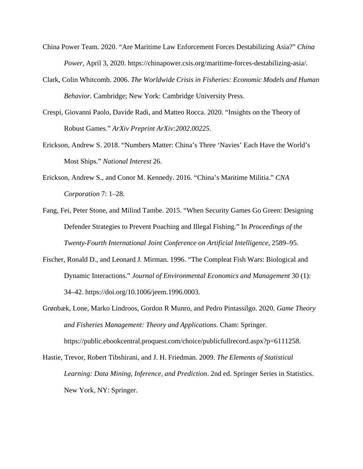- China Power Team. 2020. "Are Maritime Law Enforcement Forces Destabilizing Asia?" *China Power*, April 3, 2020. https://chinapower.csis.org/maritime-forces-destabilizing-asia/.
- Clark, Colin Whitcomb. 2006. *The Worldwide Crisis in Fisheries: Economic Models and Human Behavior*. Cambridge; New York: Cambridge University Press.
- Crespi, Giovanni Paolo, Davide Radi, and Matteo Rocca. 2020. "Insights on the Theory of Robust Games." *ArXiv Preprint ArXiv:2002.00225*.
- Erickson, Andrew S. 2018. "Numbers Matter: China's Three 'Navies' Each Have the World's Most Ships." *National Interest* 26.
- Erickson, Andrew S., and Conor M. Kennedy. 2016. "China's Maritime Militia." *CNA Corporation* 7: 1–28.
- Fang, Fei, Peter Stone, and Milind Tambe. 2015. "When Security Games Go Green: Designing Defender Strategies to Prevent Poaching and Illegal Fishing." In *Proceedings of the Twenty-Fourth International Joint Conference on Artificial Intelligence*, 2589–95.
- Fischer, Ronald D., and Leonard J. Mirman. 1996. "The Compleat Fish Wars: Biological and Dynamic Interactions." *Journal of Environmental Economics and Management* 30 (1): 34–42. https://doi.org/10.1006/jeem.1996.0003.
- Grønbæk, Lone, Marko Lindroos, Gordon R Munro, and Pedro Pintassilgo. 2020. *Game Theory and Fisheries Management: Theory and Applications*. Cham: Springer. https://public.ebookcentral.proquest.com/choice/publicfullrecord.aspx?p=6111258.
- Hastie, Trevor, Robert Tibshirani, and J. H. Friedman. 2009. *The Elements of Statistical Learning: Data Mining, Inference, and Prediction*. 2nd ed. Springer Series in Statistics. New York, NY: Springer.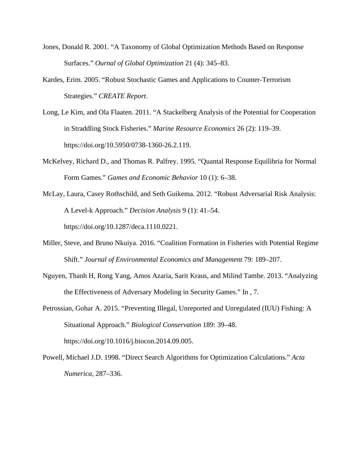- Jones, Donald R. 2001. "A Taxonomy of Global Optimization Methods Based on Response Surfaces." *Ournal of Global Optimization* 21 (4): 345–83.
- Kardes, Erim. 2005. "Robust Stochastic Games and Applications to Counter-Terrorism Strategies." *CREATE Report*.
- Long, Le Kim, and Ola Flaaten. 2011. "A Stackelberg Analysis of the Potential for Cooperation in Straddling Stock Fisheries." *Marine Resource Economics* 26 (2): 119–39. https://doi.org/10.5950/0738-1360-26.2.119.
- McKelvey, Richard D., and Thomas R. Palfrey. 1995. "Quantal Response Equilibria for Normal Form Games." *Games and Economic Behavior* 10 (1): 6–38.
- McLay, Laura, Casey Rothschild, and Seth Guikema. 2012. "Robust Adversarial Risk Analysis: A Level-k Approach." *Decision Analysis* 9 (1): 41–54. https://doi.org/10.1287/deca.1110.0221.
- Miller, Steve, and Bruno Nkuiya. 2016. "Coalition Formation in Fisheries with Potential Regime Shift." *Journal of Environmental Economics and Management* 79: 189–207.
- Nguyen, Thanh H, Rong Yang, Amos Azaria, Sarit Kraus, and Milind Tambe. 2013. "Analyzing the Effectiveness of Adversary Modeling in Security Games." In , 7.
- Petrossian, Gohar A. 2015. "Preventing Illegal, Unreported and Unregulated (IUU) Fishing: A Situational Approach." *Biological Conservation* 189: 39–48. https://doi.org/10.1016/j.biocon.2014.09.005.
- Powell, Michael J.D. 1998. "Direct Search Algorithms for Optimization Calculations." *Acta Numerica*, 287–336.